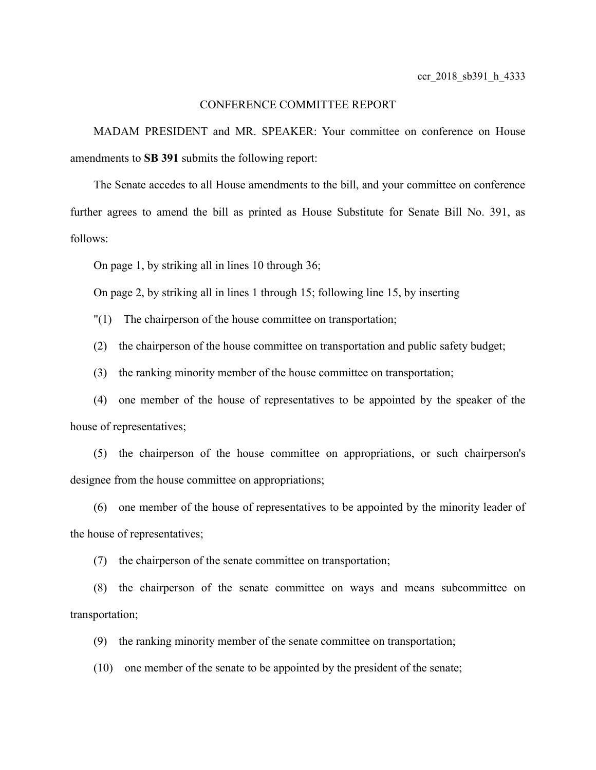## CONFERENCE COMMITTEE REPORT

MADAM PRESIDENT and MR. SPEAKER: Your committee on conference on House amendments to **SB 391** submits the following report:

The Senate accedes to all House amendments to the bill, and your committee on conference further agrees to amend the bill as printed as House Substitute for Senate Bill No. 391, as follows:

On page 1, by striking all in lines 10 through 36;

On page 2, by striking all in lines 1 through 15; following line 15, by inserting

"(1) The chairperson of the house committee on transportation;

(2) the chairperson of the house committee on transportation and public safety budget;

(3) the ranking minority member of the house committee on transportation;

(4) one member of the house of representatives to be appointed by the speaker of the house of representatives;

(5) the chairperson of the house committee on appropriations, or such chairperson's designee from the house committee on appropriations;

(6) one member of the house of representatives to be appointed by the minority leader of the house of representatives;

(7) the chairperson of the senate committee on transportation;

(8) the chairperson of the senate committee on ways and means subcommittee on transportation;

(9) the ranking minority member of the senate committee on transportation;

(10) one member of the senate to be appointed by the president of the senate;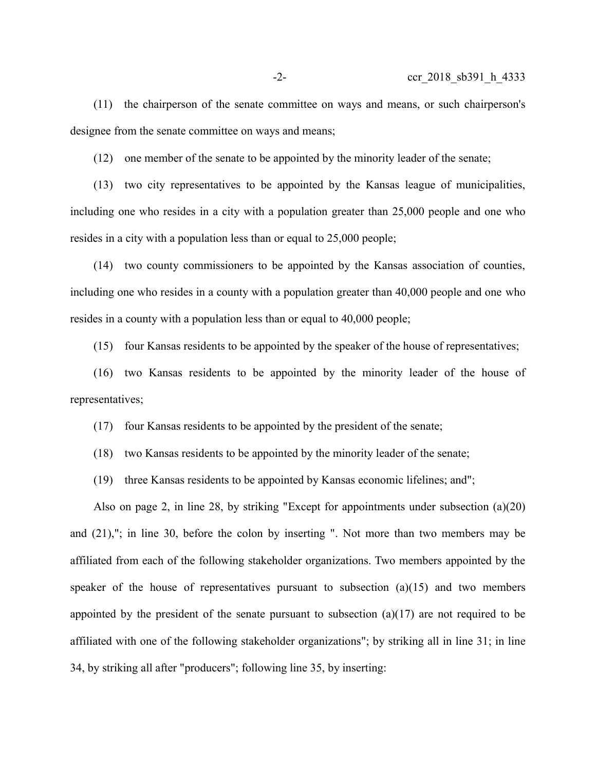(11) the chairperson of the senate committee on ways and means, or such chairperson's designee from the senate committee on ways and means;

(12) one member of the senate to be appointed by the minority leader of the senate;

(13) two city representatives to be appointed by the Kansas league of municipalities, including one who resides in a city with a population greater than 25,000 people and one who resides in a city with a population less than or equal to 25,000 people;

(14) two county commissioners to be appointed by the Kansas association of counties, including one who resides in a county with a population greater than 40,000 people and one who resides in a county with a population less than or equal to 40,000 people;

(15) four Kansas residents to be appointed by the speaker of the house of representatives;

(16) two Kansas residents to be appointed by the minority leader of the house of representatives;

(17) four Kansas residents to be appointed by the president of the senate;

(18) two Kansas residents to be appointed by the minority leader of the senate;

(19) three Kansas residents to be appointed by Kansas economic lifelines; and";

Also on page 2, in line 28, by striking "Except for appointments under subsection (a)(20) and (21),"; in line 30, before the colon by inserting ". Not more than two members may be affiliated from each of the following stakeholder organizations. Two members appointed by the speaker of the house of representatives pursuant to subsection  $(a)(15)$  and two members appointed by the president of the senate pursuant to subsection  $(a)(17)$  are not required to be affiliated with one of the following stakeholder organizations"; by striking all in line 31; in line 34, by striking all after "producers"; following line 35, by inserting: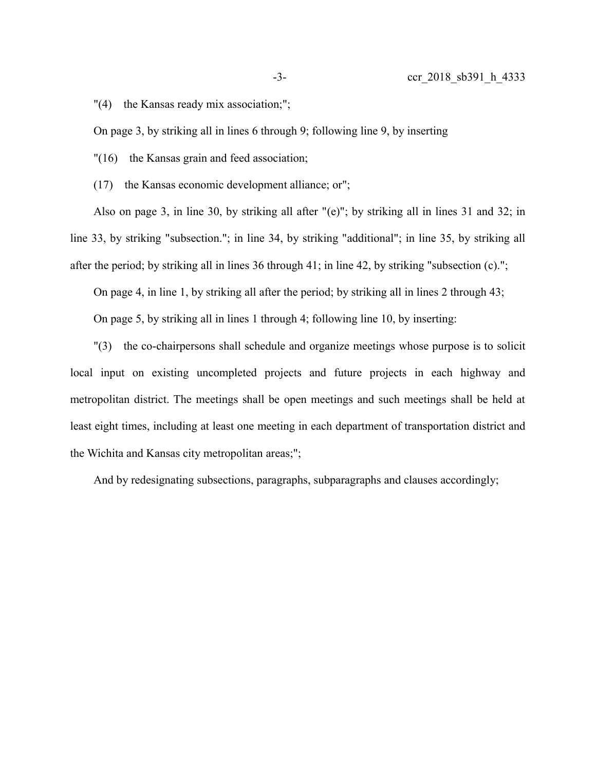"(4) the Kansas ready mix association;";

On page 3, by striking all in lines 6 through 9; following line 9, by inserting

"(16) the Kansas grain and feed association;

(17) the Kansas economic development alliance; or";

Also on page 3, in line 30, by striking all after "(e)"; by striking all in lines 31 and 32; in line 33, by striking "subsection."; in line 34, by striking "additional"; in line 35, by striking all after the period; by striking all in lines 36 through 41; in line 42, by striking "subsection (c).";

On page 4, in line 1, by striking all after the period; by striking all in lines 2 through 43;

On page 5, by striking all in lines 1 through 4; following line 10, by inserting:

"(3) the co-chairpersons shall schedule and organize meetings whose purpose is to solicit local input on existing uncompleted projects and future projects in each highway and metropolitan district. The meetings shall be open meetings and such meetings shall be held at least eight times, including at least one meeting in each department of transportation district and the Wichita and Kansas city metropolitan areas;";

And by redesignating subsections, paragraphs, subparagraphs and clauses accordingly;